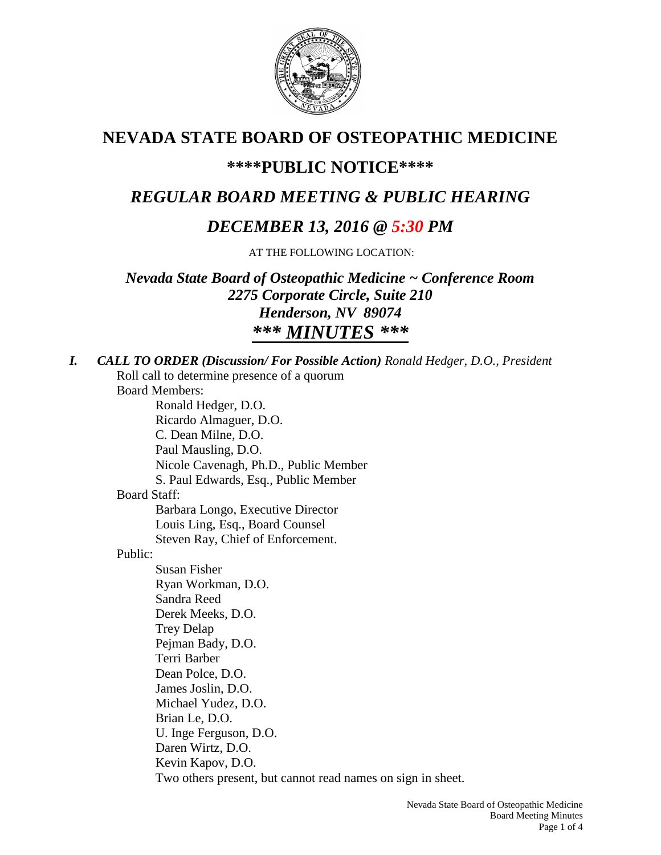

# **NEVADA STATE BOARD OF OSTEOPATHIC MEDICINE**

## **\*\*\*\*PUBLIC NOTICE\*\*\*\***

# *REGULAR BOARD MEETING & PUBLIC HEARING*

# *DECEMBER 13, 2016 @ 5:30 PM*

AT THE FOLLOWING LOCATION:

*Nevada State Board of Osteopathic Medicine ~ Conference Room 2275 Corporate Circle, Suite 210 Henderson, NV 89074 \*\*\* MINUTES \*\*\**

| <b>CALL TO ORDER (Discussion/For Possible Action) Ronald Hedger, D.O., President</b> |
|--------------------------------------------------------------------------------------|
| Roll call to determine presence of a quorum                                          |
| <b>Board Members:</b>                                                                |
| Ronald Hedger, D.O.                                                                  |
| Ricardo Almaguer, D.O.                                                               |
| C. Dean Milne, D.O.                                                                  |
| Paul Mausling, D.O.                                                                  |
| Nicole Cavenagh, Ph.D., Public Member                                                |
| S. Paul Edwards, Esq., Public Member                                                 |
| <b>Board Staff:</b>                                                                  |
| Barbara Longo, Executive Director                                                    |
| Louis Ling, Esq., Board Counsel                                                      |
| Steven Ray, Chief of Enforcement.                                                    |
| Public:                                                                              |
| <b>Susan Fisher</b>                                                                  |
| Ryan Workman, D.O.                                                                   |
| Sandra Reed                                                                          |
| Derek Meeks, D.O.                                                                    |
| <b>Trey Delap</b>                                                                    |
| Pejman Bady, D.O.                                                                    |
| Terri Barber                                                                         |
| Dean Polce, D.O.                                                                     |
| James Joslin, D.O.                                                                   |
| Michael Yudez, D.O.                                                                  |
| Brian Le, D.O.                                                                       |
| U. Inge Ferguson, D.O.                                                               |
| Daren Wirtz, D.O.                                                                    |
| Kevin Kapov, D.O.                                                                    |
| Two others present, but cannot read names on sign in sheet.                          |
| Navada State Roard of Octoonathic Me                                                 |
|                                                                                      |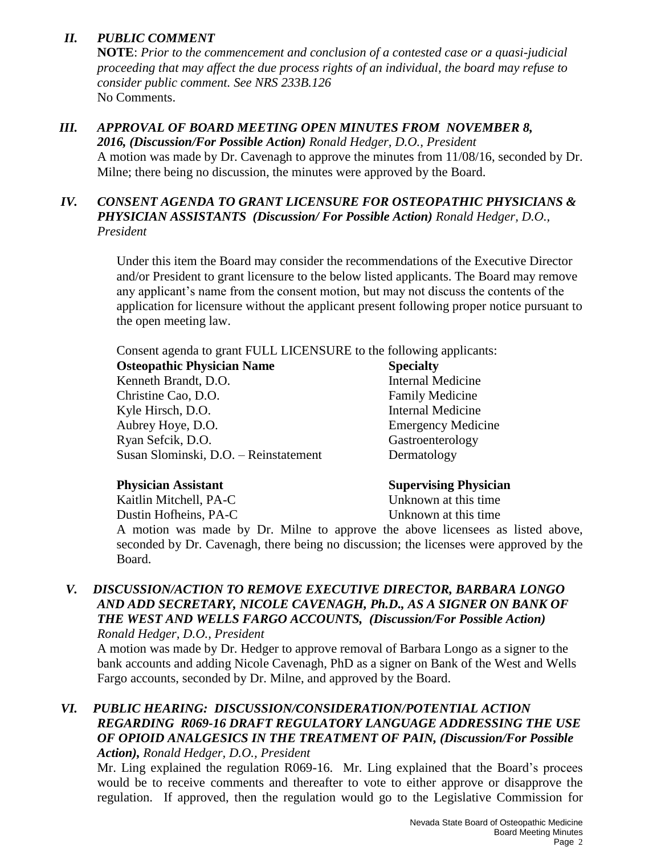## *II. PUBLIC COMMENT*

**NOTE**: *Prior to the commencement and conclusion of a contested case or a quasi-judicial proceeding that may affect the due process rights of an individual, the board may refuse to consider public comment. See NRS 233B.126* No Comments.

## *III. APPROVAL OF BOARD MEETING OPEN MINUTES FROM NOVEMBER 8,*

*2016, (Discussion/For Possible Action) Ronald Hedger, D.O., President* A motion was made by Dr. Cavenagh to approve the minutes from 11/08/16, seconded by Dr. Milne; there being no discussion, the minutes were approved by the Board.

### *IV. CONSENT AGENDA TO GRANT LICENSURE FOR OSTEOPATHIC PHYSICIANS & PHYSICIAN ASSISTANTS (Discussion/ For Possible Action) Ronald Hedger, D.O., President*

Under this item the Board may consider the recommendations of the Executive Director and/or President to grant licensure to the below listed applicants. The Board may remove any applicant's name from the consent motion, but may not discuss the contents of the application for licensure without the applicant present following proper notice pursuant to the open meeting law.

Consent agenda to grant FULL LICENSURE to the following applicants:

**Osteopathic Physician Name Specialty** Kenneth Brandt, D.O. Internal Medicine Christine Cao, D.O. Family Medicine Kyle Hirsch, D.O. Internal Medicine Aubrey Hoye, D.O. Emergency Medicine Ryan Sefcik, D.O. Gastroenterology Susan Slominski, D.O. – Reinstatement Dermatology

Kaitlin Mitchell, PA-C Unknown at this time

#### **Physician Assistant Supervising Physician**

Dustin Hofheins, PA-C Unknown at this time

A motion was made by Dr. Milne to approve the above licensees as listed above, seconded by Dr. Cavenagh, there being no discussion; the licenses were approved by the Board.

#### *V. DISCUSSION/ACTION TO REMOVE EXECUTIVE DIRECTOR, BARBARA LONGO AND ADD SECRETARY, NICOLE CAVENAGH, Ph.D., AS A SIGNER ON BANK OF THE WEST AND WELLS FARGO ACCOUNTS, (Discussion/For Possible Action) Ronald Hedger, D.O., President*

A motion was made by Dr. Hedger to approve removal of Barbara Longo as a signer to the bank accounts and adding Nicole Cavenagh, PhD as a signer on Bank of the West and Wells Fargo accounts, seconded by Dr. Milne, and approved by the Board.

### *VI. PUBLIC HEARING: DISCUSSION/CONSIDERATION/POTENTIAL ACTION REGARDING R069-16 DRAFT REGULATORY LANGUAGE ADDRESSING THE USE OF OPIOID ANALGESICS IN THE TREATMENT OF PAIN, (Discussion/For Possible Action), Ronald Hedger, D.O., President*

Mr. Ling explained the regulation R069-16. Mr. Ling explained that the Board's procees would be to receive comments and thereafter to vote to either approve or disapprove the regulation. If approved, then the regulation would go to the Legislative Commission for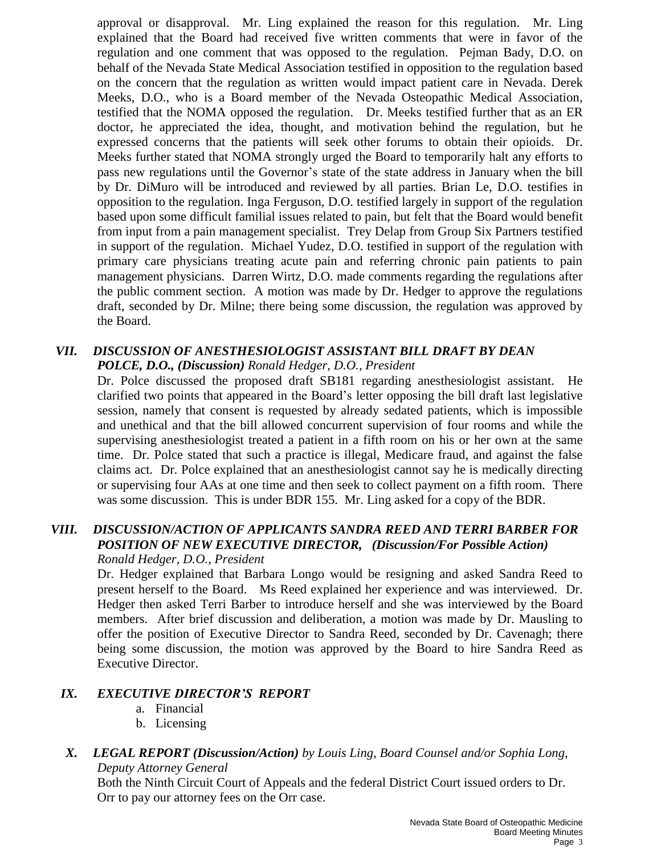approval or disapproval. Mr. Ling explained the reason for this regulation. Mr. Ling explained that the Board had received five written comments that were in favor of the regulation and one comment that was opposed to the regulation. Pejman Bady, D.O. on behalf of the Nevada State Medical Association testified in opposition to the regulation based on the concern that the regulation as written would impact patient care in Nevada. Derek Meeks, D.O., who is a Board member of the Nevada Osteopathic Medical Association, testified that the NOMA opposed the regulation. Dr. Meeks testified further that as an ER doctor, he appreciated the idea, thought, and motivation behind the regulation, but he expressed concerns that the patients will seek other forums to obtain their opioids. Dr. Meeks further stated that NOMA strongly urged the Board to temporarily halt any efforts to pass new regulations until the Governor's state of the state address in January when the bill by Dr. DiMuro will be introduced and reviewed by all parties. Brian Le, D.O. testifies in opposition to the regulation. Inga Ferguson, D.O. testified largely in support of the regulation based upon some difficult familial issues related to pain, but felt that the Board would benefit from input from a pain management specialist. Trey Delap from Group Six Partners testified in support of the regulation. Michael Yudez, D.O. testified in support of the regulation with primary care physicians treating acute pain and referring chronic pain patients to pain management physicians. Darren Wirtz, D.O. made comments regarding the regulations after the public comment section. A motion was made by Dr. Hedger to approve the regulations draft, seconded by Dr. Milne; there being some discussion, the regulation was approved by the Board.

## *VII. DISCUSSION OF ANESTHESIOLOGIST ASSISTANT BILL DRAFT BY DEAN POLCE, D.O., (Discussion) Ronald Hedger, D.O., President*

Dr. Polce discussed the proposed draft SB181 regarding anesthesiologist assistant. He clarified two points that appeared in the Board's letter opposing the bill draft last legislative session, namely that consent is requested by already sedated patients, which is impossible and unethical and that the bill allowed concurrent supervision of four rooms and while the supervising anesthesiologist treated a patient in a fifth room on his or her own at the same time. Dr. Polce stated that such a practice is illegal, Medicare fraud, and against the false claims act. Dr. Polce explained that an anesthesiologist cannot say he is medically directing or supervising four AAs at one time and then seek to collect payment on a fifth room. There was some discussion. This is under BDR 155. Mr. Ling asked for a copy of the BDR.

#### *VIII. DISCUSSION/ACTION OF APPLICANTS SANDRA REED AND TERRI BARBER FOR POSITION OF NEW EXECUTIVE DIRECTOR, (Discussion/For Possible Action) Ronald Hedger, D.O., President*

Dr. Hedger explained that Barbara Longo would be resigning and asked Sandra Reed to present herself to the Board. Ms Reed explained her experience and was interviewed. Dr. Hedger then asked Terri Barber to introduce herself and she was interviewed by the Board members. After brief discussion and deliberation, a motion was made by Dr. Mausling to offer the position of Executive Director to Sandra Reed, seconded by Dr. Cavenagh; there being some discussion, the motion was approved by the Board to hire Sandra Reed as Executive Director.

### *IX. EXECUTIVE DIRECTOR'S REPORT*

- a. Financial
- b. Licensing

### *X. LEGAL REPORT (Discussion/Action) by Louis Ling, Board Counsel and/or Sophia Long, Deputy Attorney General*

Both the Ninth Circuit Court of Appeals and the federal District Court issued orders to Dr. Orr to pay our attorney fees on the Orr case.